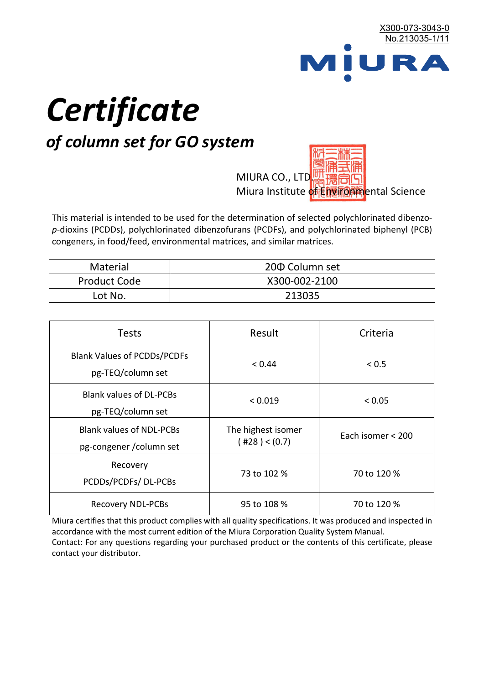

# *Certificate*

## *of column set for GO system*

MIURA CO., LTD. Miura Institute of 正版而解ental Science

This material is intended to be used for the determination of selected polychlorinated dibenzo*p*-dioxins (PCDDs), polychlorinated dibenzofurans (PCDFs), and polychlorinated biphenyl (PCB) congeners, in food/feed, environmental matrices, and similar matrices.

| <b>Material</b>     | 200 Column set |
|---------------------|----------------|
| <b>Product Code</b> | X300-002-2100  |
| Lot No.             | 213035         |

| <b>Tests</b>                                                | Result                                    | Criteria          |
|-------------------------------------------------------------|-------------------------------------------|-------------------|
| <b>Blank Values of PCDDs/PCDFs</b><br>pg-TEQ/column set     | < 0.44                                    | < 0.5             |
| <b>Blank values of DL-PCBs</b><br>pg-TEQ/column set         | < 0.019                                   | < 0.05            |
| <b>Blank values of NDL-PCBs</b><br>pg-congener / column set | The highest isomer<br>$($ #28 $)$ < (0.7) | Each isomer < 200 |
| Recovery<br>PCDDs/PCDFs/DL-PCBs                             | 73 to 102 %                               | 70 to 120 %       |
| <b>Recovery NDL-PCBs</b>                                    | 95 to 108 %                               | 70 to 120 %       |

Miura certifies that this product complies with all quality specifications. It was produced and inspected in accordance with the most current edition of the Miura Corporation Quality System Manual. Contact: For any questions regarding your purchased product or the contents of this certificate, please contact your distributor.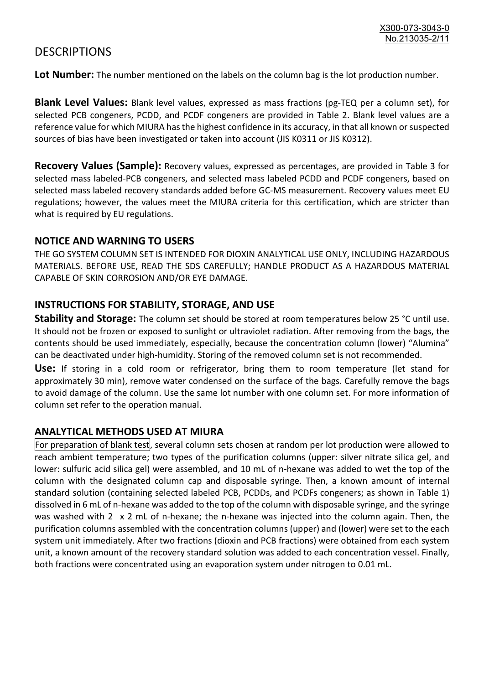### **DESCRIPTIONS**

**Lot Number:** The number mentioned on the labels on the column bag is the lot production number.

**Blank Level Values:** Blank level values, expressed as mass fractions (pg-TEQ per a column set), for selected PCB congeners, PCDD, and PCDF congeners are provided in Table 2. Blank level values are a reference value for which MIURA has the highest confidence in its accuracy, in that all known or suspected sources of bias have been investigated or taken into account (JIS K0311 or JIS K0312).

**Recovery Values (Sample):** Recovery values, expressed as percentages, are provided in Table 3 for selected mass labeled-PCB congeners, and selected mass labeled PCDD and PCDF congeners, based on selected mass labeled recovery standards added before GC-MS measurement. Recovery values meet EU regulations; however, the values meet the MIURA criteria for this certification, which are stricter than what is required by EU regulations.

#### **NOTICE AND WARNING TO USERS**

THE GO SYSTEM COLUMN SET IS INTENDED FOR DIOXIN ANALYTICAL USE ONLY, INCLUDING HAZARDOUS MATERIALS. BEFORE USE, READ THE SDS CAREFULLY; HANDLE PRODUCT AS A HAZARDOUS MATERIAL CAPABLE OF SKIN CORROSION AND/OR EYE DAMAGE.

#### **INSTRUCTIONS FOR STABILITY, STORAGE, AND USE**

**Stability and Storage:** The column set should be stored at room temperatures below 25 °C until use. It should not be frozen or exposed to sunlight or ultraviolet radiation. After removing from the bags, the contents should be used immediately, especially, because the concentration column (lower) "Alumina" can be deactivated under high-humidity. Storing of the removed column set is not recommended.

**Use:** If storing in a cold room or refrigerator, bring them to room temperature (let stand for approximately 30 min), remove water condensed on the surface of the bags. Carefully remove the bags to avoid damage of the column. Use the same lot number with one column set. For more information of column set refer to the operation manual.

#### **ANALYTICAL METHODS USED AT MIURA**

For preparation of blank test, several column sets chosen at random per lot production were allowed to reach ambient temperature; two types of the purification columns (upper: silver nitrate silica gel, and lower: sulfuric acid silica gel) were assembled, and 10 mL of n-hexane was added to wet the top of the column with the designated column cap and disposable syringe. Then, a known amount of internal standard solution (containing selected labeled PCB, PCDDs, and PCDFs congeners; as shown in Table 1) dissolved in 6 mL of n-hexane was added to the top of the column with disposable syringe, and the syringe was washed with 2 x 2 mL of n-hexane; the n-hexane was injected into the column again. Then, the purification columns assembled with the concentration columns (upper) and (lower) were set to the each system unit immediately. After two fractions (dioxin and PCB fractions) were obtained from each system unit, a known amount of the recovery standard solution was added to each concentration vessel. Finally, both fractions were concentrated using an evaporation system under nitrogen to 0.01 mL.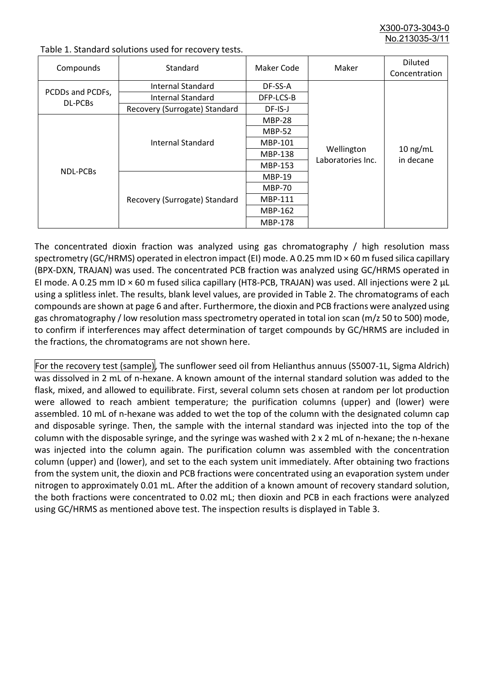X300-073-3043-0 No.213035-3/

| Compounds                          | Standard                      | Maker Code                                                                                                                                                                                                         | Maker | <b>Diluted</b><br>Concentration |
|------------------------------------|-------------------------------|--------------------------------------------------------------------------------------------------------------------------------------------------------------------------------------------------------------------|-------|---------------------------------|
|                                    | Internal Standard             | DF-SS-A                                                                                                                                                                                                            |       |                                 |
| PCDDs and PCDFs,<br><b>DL-PCBs</b> | <b>Internal Standard</b>      | DFP-LCS-B<br>DF-IS-J<br><b>MBP-28</b><br><b>MBP-52</b><br>MBP-101<br>Wellington<br><b>MBP-138</b><br>Laboratories Inc.<br>MBP-153<br><b>MBP-19</b><br><b>MBP-70</b><br><b>MBP-111</b><br>MBP-162<br><b>MBP-178</b> |       |                                 |
|                                    | Recovery (Surrogate) Standard |                                                                                                                                                                                                                    |       |                                 |
|                                    |                               |                                                                                                                                                                                                                    |       |                                 |
|                                    | Internal Standard             |                                                                                                                                                                                                                    |       | $10$ ng/mL<br>in decane         |
|                                    |                               |                                                                                                                                                                                                                    |       |                                 |
|                                    |                               |                                                                                                                                                                                                                    |       |                                 |
|                                    |                               |                                                                                                                                                                                                                    |       |                                 |
| <b>NDL-PCBs</b>                    |                               |                                                                                                                                                                                                                    |       |                                 |
|                                    | Recovery (Surrogate) Standard |                                                                                                                                                                                                                    |       |                                 |
|                                    |                               |                                                                                                                                                                                                                    |       |                                 |
|                                    |                               |                                                                                                                                                                                                                    |       |                                 |
|                                    |                               |                                                                                                                                                                                                                    |       |                                 |

Table 1. Standard solutions used for recovery tests.

The concentrated dioxin fraction was analyzed using gas chromatography / high resolution mass spectrometry (GC/HRMS) operated in electron impact (EI) mode. A 0.25 mm ID × 60 m fused silica capillary (BPX-DXN, TRAJAN) was used. The concentrated PCB fraction was analyzed using GC/HRMS operated in EI mode. A 0.25 mm ID × 60 m fused silica capillary (HT8-PCB, TRAJAN) was used. All injections were 2 μL using a splitless inlet. The results, blank level values, are provided in Table 2. The chromatograms of each compounds are shown at page 6 and after. Furthermore, the dioxin and PCB fractions were analyzed using gas chromatography / low resolution mass spectrometry operated in total ion scan (m/z 50 to 500) mode, to confirm if interferences may affect determination of target compounds by GC/HRMS are included in the fractions, the chromatograms are not shown here.

For the recovery test (sample), The sunflower seed oil from Helianthus annuus (S5007-1L, Sigma Aldrich) was dissolved in 2 mL of n-hexane. A known amount of the internal standard solution was added to the flask, mixed, and allowed to equilibrate. First, several column sets chosen at random per lot production were allowed to reach ambient temperature; the purification columns (upper) and (lower) were assembled. 10 mL of n-hexane was added to wet the top of the column with the designated column cap and disposable syringe. Then, the sample with the internal standard was injected into the top of the column with the disposable syringe, and the syringe was washed with 2 x 2 mL of n-hexane; the n-hexane was injected into the column again. The purification column was assembled with the concentration column (upper) and (lower), and set to the each system unit immediately. After obtaining two fractions from the system unit, the dioxin and PCB fractions were concentrated using an evaporation system under nitrogen to approximately 0.01 mL. After the addition of a known amount of recovery standard solution, the both fractions were concentrated to 0.02 mL; then dioxin and PCB in each fractions were analyzed using GC/HRMS as mentioned above test. The inspection results is displayed in Table 3.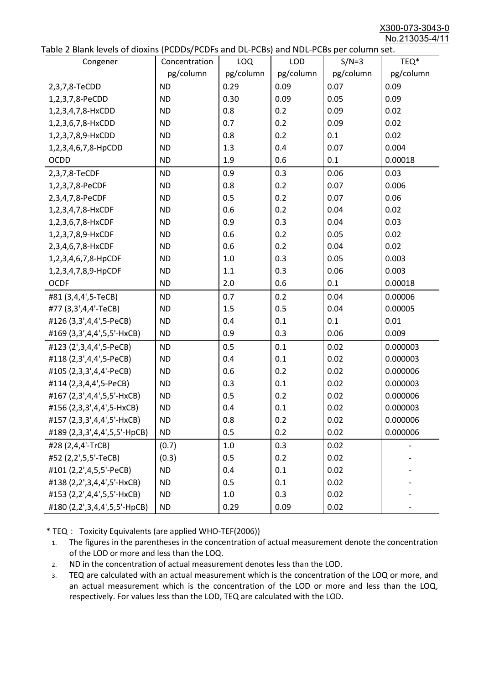X300-073-3043-0 No.213035-4/11

|  |  | Table 2 Blank levels of dioxins (PCDDs/PCDFs and DL-PCBs) and NDL-PCBs per column set. |
|--|--|----------------------------------------------------------------------------------------|
|--|--|----------------------------------------------------------------------------------------|

| able 2 Dialik levels of dioxilis (PCDDs/PCDI's and DL-PCDs) and NDL-PCDs per coldinii set.<br>Congener | Concentration | <b>LOQ</b> | <b>LOD</b> | $S/N=3$   | TEQ*      |
|--------------------------------------------------------------------------------------------------------|---------------|------------|------------|-----------|-----------|
|                                                                                                        | pg/column     | pg/column  | pg/column  | pg/column | pg/column |
| 2,3,7,8-TeCDD                                                                                          | <b>ND</b>     | 0.29       | 0.09       | 0.07      | 0.09      |
| 1,2,3,7,8-PeCDD                                                                                        | <b>ND</b>     | 0.30       | 0.09       | 0.05      | 0.09      |
| 1,2,3,4,7,8-HxCDD                                                                                      | <b>ND</b>     | 0.8        | 0.2        | 0.09      | 0.02      |
| 1,2,3,6,7,8-HxCDD                                                                                      | <b>ND</b>     | 0.7        | 0.2        | 0.09      | 0.02      |
| 1,2,3,7,8,9-HxCDD                                                                                      | <b>ND</b>     | 0.8        | 0.2        | 0.1       | 0.02      |
| 1,2,3,4,6,7,8-HpCDD                                                                                    | <b>ND</b>     | 1.3        | 0.4        | 0.07      | 0.004     |
| <b>OCDD</b>                                                                                            | <b>ND</b>     | 1.9        | 0.6        | 0.1       | 0.00018   |
| 2,3,7,8-TeCDF                                                                                          | <b>ND</b>     | 0.9        | 0.3        | 0.06      | 0.03      |
| 1,2,3,7,8-PeCDF                                                                                        | <b>ND</b>     | 0.8        | 0.2        | 0.07      | 0.006     |
| 2,3,4,7,8-PeCDF                                                                                        | <b>ND</b>     | 0.5        | 0.2        | 0.07      | 0.06      |
| 1,2,3,4,7,8-HxCDF                                                                                      | <b>ND</b>     | 0.6        | 0.2        | 0.04      | 0.02      |
| 1,2,3,6,7,8-HxCDF                                                                                      | <b>ND</b>     | 0.9        | 0.3        | 0.04      | 0.03      |
| 1,2,3,7,8,9-HxCDF                                                                                      | <b>ND</b>     | 0.6        | 0.2        | 0.05      | 0.02      |
| 2,3,4,6,7,8-HxCDF                                                                                      | <b>ND</b>     | 0.6        | 0.2        | 0.04      | 0.02      |
| 1,2,3,4,6,7,8-HpCDF                                                                                    | <b>ND</b>     | 1.0        | 0.3        | 0.05      | 0.003     |
| 1,2,3,4,7,8,9-HpCDF                                                                                    | <b>ND</b>     | 1.1        | 0.3        | 0.06      | 0.003     |
| <b>OCDF</b>                                                                                            | <b>ND</b>     | 2.0        | 0.6        | 0.1       | 0.00018   |
| #81 (3,4,4',5-TeCB)                                                                                    | <b>ND</b>     | 0.7        | 0.2        | 0.04      | 0.00006   |
| #77 (3,3',4,4'-TeCB)                                                                                   | <b>ND</b>     | 1.5        | 0.5        | 0.04      | 0.00005   |
| #126 (3,3',4,4',5-PeCB)                                                                                | <b>ND</b>     | 0.4        | 0.1        | 0.1       | 0.01      |
| #169 (3,3',4,4',5,5'-HxCB)                                                                             | <b>ND</b>     | 0.9        | 0.3        | 0.06      | 0.009     |
| #123 (2',3,4,4',5-PeCB)                                                                                | <b>ND</b>     | 0.5        | 0.1        | 0.02      | 0.000003  |
| #118 (2,3',4,4',5-PeCB)                                                                                | <b>ND</b>     | 0.4        | 0.1        | 0.02      | 0.000003  |
| #105 (2,3,3',4,4'-PeCB)                                                                                | <b>ND</b>     | 0.6        | 0.2        | 0.02      | 0.000006  |
| #114 (2,3,4,4',5-PeCB)                                                                                 | <b>ND</b>     | 0.3        | 0.1        | 0.02      | 0.000003  |
| #167 (2,3',4,4',5,5'-HxCB)                                                                             | <b>ND</b>     | 0.5        | 0.2        | 0.02      | 0.000006  |
| #156 (2,3,3',4,4',5-HxCB)                                                                              | <b>ND</b>     | 0.4        | 0.1        | 0.02      | 0.000003  |
| #157 (2,3,3',4,4',5'-HxCB)                                                                             | <b>ND</b>     | 0.8        | 0.2        | 0.02      | 0.000006  |
| #189 (2,3,3',4,4',5,5'-HpCB)                                                                           | <b>ND</b>     | 0.5        | 0.2        | 0.02      | 0.000006  |
| #28 (2,4,4'-TrCB)                                                                                      | (0.7)         | 1.0        | 0.3        | 0.02      |           |
| #52 (2,2',5,5'-TeCB)                                                                                   | (0.3)         | 0.5        | 0.2        | 0.02      |           |
| #101 (2,2',4,5,5'-PeCB)                                                                                | <b>ND</b>     | 0.4        | 0.1        | 0.02      |           |
| #138 (2,2',3,4,4',5'-HxCB)                                                                             | <b>ND</b>     | 0.5        | 0.1        | 0.02      |           |
| #153 (2,2',4,4',5,5'-HxCB)                                                                             | <b>ND</b>     | 1.0        | 0.3        | 0.02      |           |
| #180 (2,2',3,4,4',5,5'-HpCB)                                                                           | <b>ND</b>     | 0.29       | 0.09       | 0.02      |           |

\* TEQ: Toxicity Equivalents (are applied WHO-TEF(2006))

- 1. The figures in the parentheses in the concentration of actual measurement denote the concentration of the LOD or more and less than the LOQ.
- 2. ND in the concentration of actual measurement denotes less than the LOD.
- 3. TEQ are calculated with an actual measurement which is the concentration of the LOQ or more, and an actual measurement which is the concentration of the LOD or more and less than the LOQ, respectively. For values less than the LOD, TEQ are calculated with the LOD.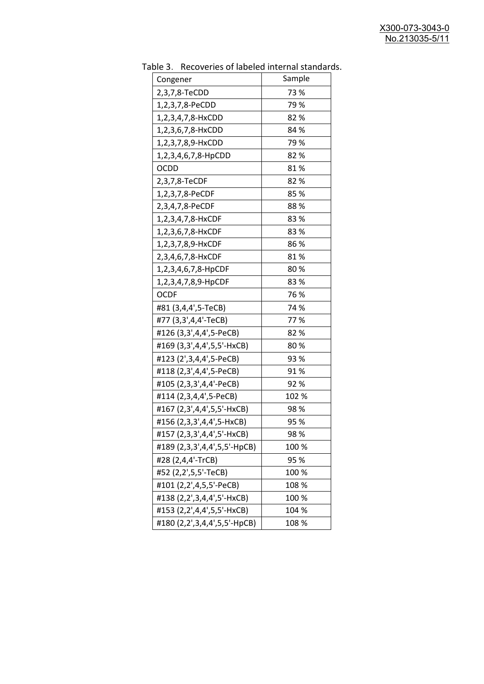| Sample<br>Congener<br>2,3,7,8-TeCDD<br>73 %<br>79%<br>1,2,3,7,8-PeCDD |  |
|-----------------------------------------------------------------------|--|
|                                                                       |  |
|                                                                       |  |
|                                                                       |  |
| 82%<br>1,2,3,4,7,8-HxCDD                                              |  |
| 84 %<br>1,2,3,6,7,8-HxCDD                                             |  |
| 79 %<br>1,2,3,7,8,9-HxCDD                                             |  |
| 82%<br>1,2,3,4,6,7,8-HpCDD                                            |  |
| <b>OCDD</b><br>81%                                                    |  |
| 2,3,7,8-TeCDF<br>82%                                                  |  |
| 85%<br>1,2,3,7,8-PeCDF                                                |  |
| 88%<br>2,3,4,7,8-PeCDF                                                |  |
| 1,2,3,4,7,8-HxCDF<br>83%                                              |  |
| 83%<br>1,2,3,6,7,8-HxCDF                                              |  |
| 86 %<br>1,2,3,7,8,9-HxCDF                                             |  |
| 2,3,4,6,7,8-HxCDF<br>81%                                              |  |
| 80%<br>1,2,3,4,6,7,8-HpCDF                                            |  |
| 83%<br>1,2,3,4,7,8,9-HpCDF                                            |  |
| 76 %<br><b>OCDF</b>                                                   |  |
| #81 (3,4,4',5-TeCB)<br>74 %                                           |  |
| #77 (3,3',4,4'-TeCB)<br>77%                                           |  |
| #126 (3,3',4,4',5-PeCB)<br>82%                                        |  |
| #169 (3,3',4,4',5,5'-HxCB)<br>80%                                     |  |
| #123 (2',3,4,4',5-PeCB)<br>93 %                                       |  |
| #118 (2,3',4,4',5-PeCB)<br>91%                                        |  |
| #105 (2,3,3',4,4'-PeCB)<br>92%                                        |  |
| #114 (2,3,4,4',5-PeCB)<br>102 %                                       |  |
| #167 (2,3',4,4',5,5'-HxCB)<br>98 %                                    |  |
| #156 (2,3,3',4,4',5-HxCB)<br>95 %                                     |  |
| #157 (2,3,3',4,4',5'-HxCB)<br>98 %                                    |  |
| #189 (2,3,3',4,4',5,5'-HpCB)<br>100 %                                 |  |
| #28 (2,4,4'-TrCB)<br>95 %                                             |  |
| #52 (2,2',5,5'-TeCB)<br>100 %                                         |  |
| #101 (2,2',4,5,5'-PeCB)<br>108 %                                      |  |
| #138 (2,2',3,4,4',5'-HxCB)<br>100 %                                   |  |
| #153 (2,2',4,4',5,5'-HxCB)<br>104 %                                   |  |
| #180 (2,2',3,4,4',5,5'-HpCB)<br>108 %                                 |  |

Table 3. Recoveries of labeled internal standards.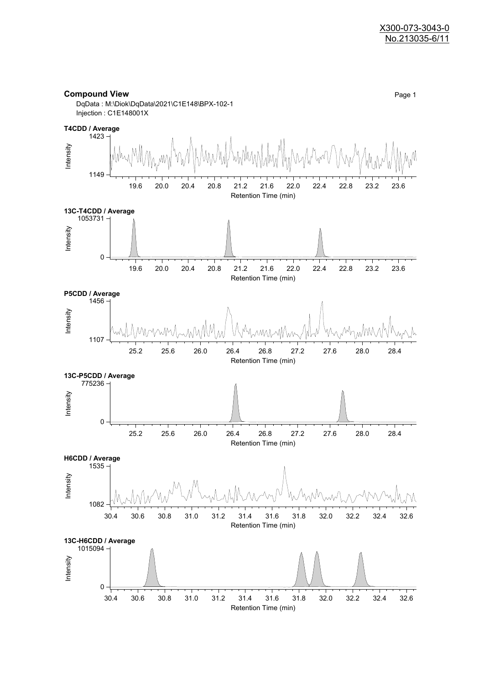

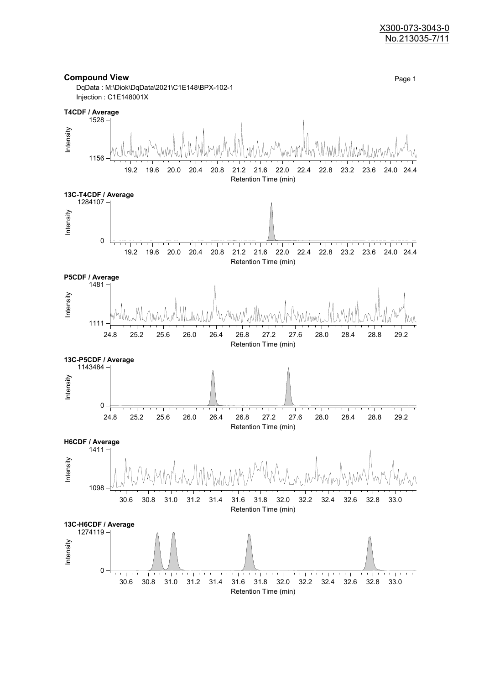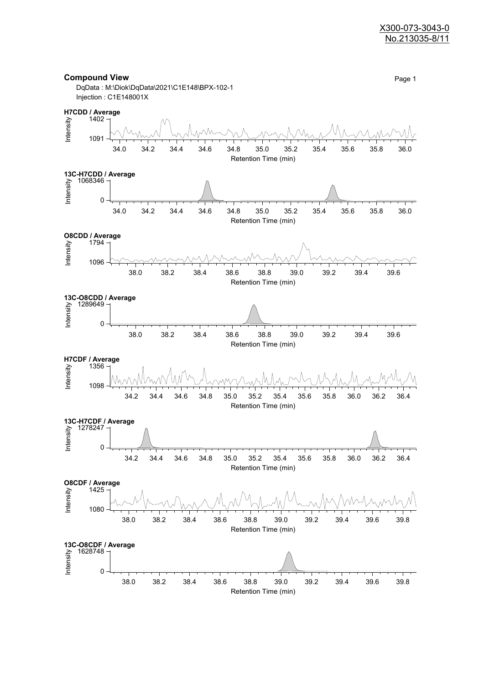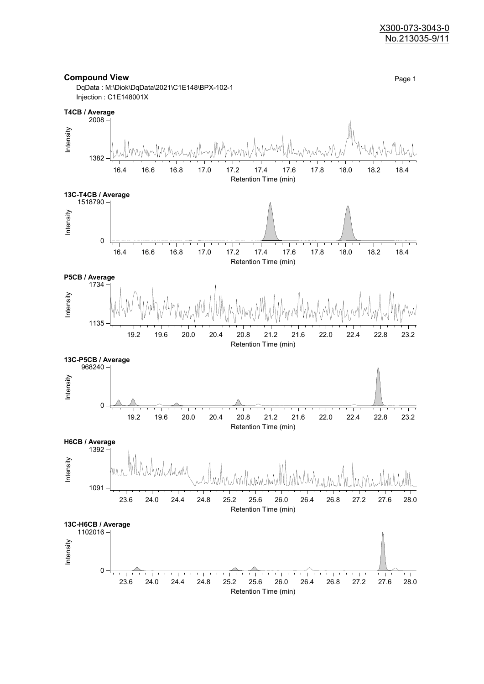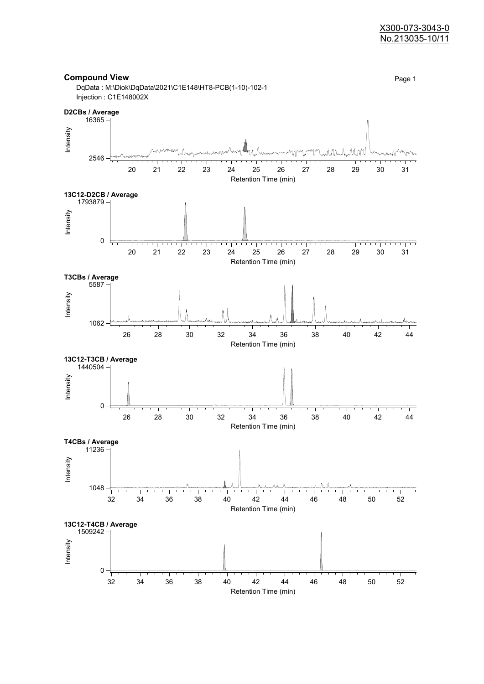